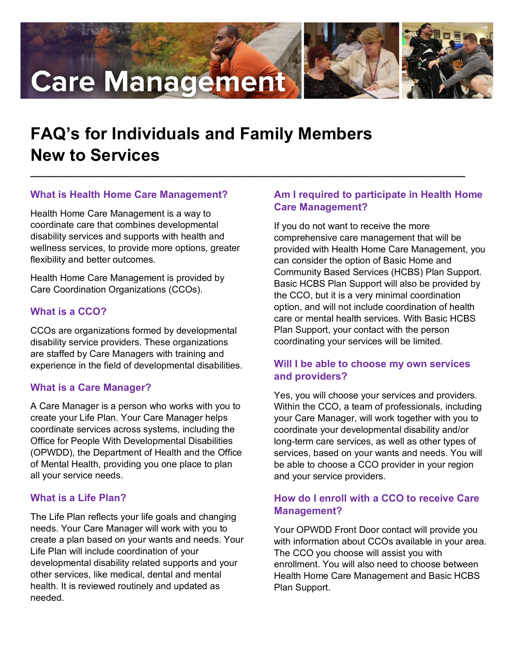# **Care Management**





# **FAQ's for Individuals and Family Members New to Services**

**\_\_\_\_\_\_\_\_\_\_\_\_\_\_\_\_\_\_\_\_\_\_\_\_\_\_\_\_\_\_\_\_\_\_\_\_\_\_\_\_\_\_\_\_\_\_\_\_\_\_\_\_\_\_\_\_\_\_\_\_\_\_\_\_\_\_\_\_\_\_\_\_\_\_\_\_\_**

# **What is Health Home Care Management?**

Health Home Care Management is a way to coordinate care that combines developmental disability services and supports with health and wellness services, to provide more options, greater flexibility and better outcomes.

Health Home Care Management is provided by Care Coordination Organizations (CCOs).

#### **What is a CCO?**

CCOs are organizations formed by developmental disability service providers. These organizations are staffed by Care Managers with training and experience in the field of developmental disabilities.

# **What is a Care Manager?**

A Care Manager is a person who works with you to create your Life Plan. Your Care Manager helps coordinate services across systems, including the Office for People With Developmental Disabilities (OPWDD), the Department of Health and the Office of Mental Health, providing you one place to plan all your service needs.

#### **What is a Life Plan?**

The Life Plan reflects your life goals and changing needs. Your Care Manager will work with you to create a plan based on your wants and needs. Your Life Plan will include coordination of your developmental disability related supports and your other services, like medical, dental and mental health. It is reviewed routinely and updated as needed.

# **Am I required to participate in Health Home Care Management?**

If you do not want to receive the more comprehensive care management that will be provided with Health Home Care Management, you can consider the option of Basic Home and Community Based Services (HCBS) Plan Support. Basic HCBS Plan Support will also be provided by the CCO, but it is a very minimal coordination option, and will not include coordination of health care or mental health services. With Basic HCBS Plan Support, your contact with the person coordinating your services will be limited.

#### **Will I be able to choose my own services and providers?**

Yes, you will choose your services and providers. Within the CCO, a team of professionals, including your Care Manager, will work together with you to coordinate your developmental disability and/or long-term care services, as well as other types of services, based on your wants and needs. You will be able to choose a CCO provider in your region and your service providers.

# **How do I enroll with a CCO to receive Care Management?**

Your OPWDD Front Door contact will provide you with information about CCOs available in your area. The CCO you choose will assist you with enrollment. You will also need to choose between Health Home Care Management and Basic HCBS Plan Support.